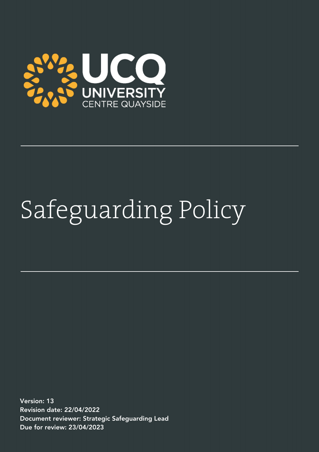

# Safeguarding Policy

Version: 13 Revision date: 22/04/2022 Document reviewer: Strategic Safeguarding Lead Due for review: 23/04/2023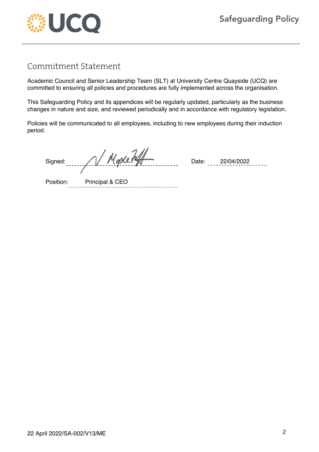

## Commitment Statement

Academic Council and Senior Leadership Team (SLT) at University Centre Quayside (UCQ) are committed to ensuring all policies and procedures are fully implemented across the organisation.

This Safeguarding Policy and its appendices will be regularly updated, particularly as the business changes in nature and size, and reviewed periodically and in accordance with regulatory legislation.

Policies will be communicated to all employees, including to new employees during their induction period.

Signed: Date: 22/04/2022

Position: Principal & CEO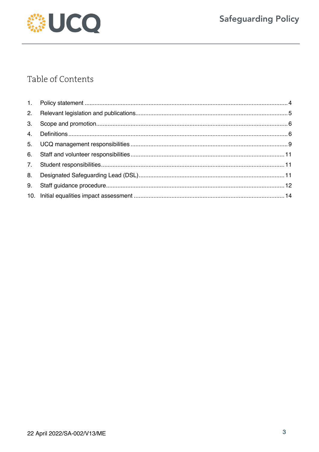

# Table of Contents

| 3. |  |
|----|--|
|    |  |
|    |  |
|    |  |
|    |  |
| 8. |  |
| 9. |  |
|    |  |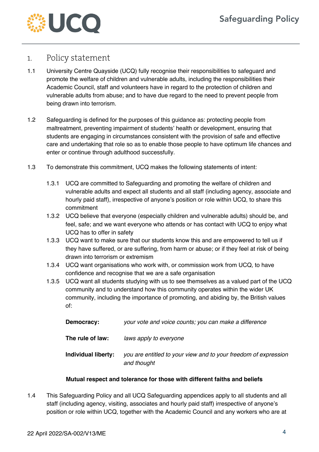

#### 1. Policy statement

- 1.1 University Centre Quayside (UCQ) fully recognise their responsibilities to safeguard and promote the welfare of children and vulnerable adults, including the responsibilities their Academic Council, staff and volunteers have in regard to the protection of children and vulnerable adults from abuse; and to have due regard to the need to prevent people from being drawn into terrorism.
- 1.2 Safeguarding is defined for the purposes of this guidance as: protecting people from maltreatment, preventing impairment of students' health or development, ensuring that students are engaging in circumstances consistent with the provision of safe and effective care and undertaking that role so as to enable those people to have optimum life chances and enter or continue through adulthood successfully.
- 1.3 To demonstrate this commitment, UCQ makes the following statements of intent:
	- 1.3.1 UCQ are committed to Safeguarding and promoting the welfare of children and vulnerable adults and expect all students and all staff (including agency, associate and hourly paid staff), irrespective of anyone's position or role within UCQ, to share this commitment
	- 1.3.2 UCQ believe that everyone (especially children and vulnerable adults) should be, and feel, safe; and we want everyone who attends or has contact with UCQ to enjoy what UCQ has to offer in safety
	- 1.3.3 UCQ want to make sure that our students know this and are empowered to tell us if they have suffered, or are suffering, from harm or abuse; or if they feel at risk of being drawn into terrorism or extremism
	- 1.3.4 UCQ want organisations who work with, or commission work from UCQ, to have confidence and recognise that we are a safe organisation
	- 1.3.5 UCQ want all students studying with us to see themselves as a valued part of the UCQ community and to understand how this community operates within the wider UK community, including the importance of promoting, and abiding by, the British values of:

| Democracy:          | your vote and voice counts; you can make a difference                          |
|---------------------|--------------------------------------------------------------------------------|
| The rule of law:    | laws apply to everyone                                                         |
| Individual liberty: | you are entitled to your view and to your freedom of expression<br>and thought |

#### **Mutual respect and tolerance for those with different faiths and beliefs**

1.4 This Safeguarding Policy and all UCQ Safeguarding appendices apply to all students and all staff (including agency, visiting, associates and hourly paid staff) irrespective of anyone's position or role within UCQ, together with the Academic Council and any workers who are at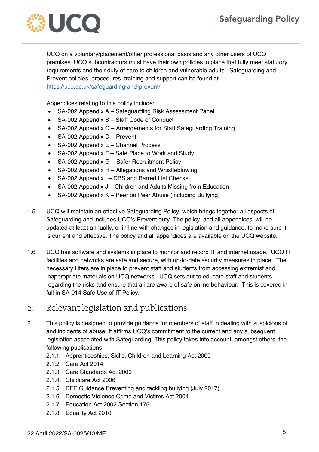

UCQ on a voluntary/placement/other professional basis and any other users of UCQ premises. UCQ subcontractors must have their own policies in place that fully meet statutory requirements and their duty of care to children and vulnerable adults. Safeguarding and Prevent policies, procedures, training and support can be found at https://ucq.ac.uk/safeguarding-and-prevent/

Appendices relating to this policy include:

- SA-002 Appendix A Safeguarding Risk Assessment Panel
- SA-002 Appendix B Staff Code of Conduct
- SA-002 Appendix C Arrangements for Staff Safeguarding Training
- SA-002 Appendix D Prevent
- SA-002 Appendix E Channel Process
- SA-002 Appendix F Safe Place to Work and Study
- SA-002 Appendix G Safer Recruitment Policy
- SA-002 Appendix H Allegations and Whistleblowing
- SA-002 Appendix I DBS and Barred List Checks
- SA-002 Appendix J Children and Adults Missing from Education
- SA-002 Appendix K Peer on Peer Abuse (including Bullying)
- 1.5 UCQ will maintain an effective Safeguarding Policy, which brings together all aspects of Safeguarding and includes UCQ's Prevent duty. The policy, and all appendices, will be updated at least annually, or in line with changes in legislation and guidance, to make sure it is current and effective. The policy and all appendices are available on the UCQ website.
- 1.6 UCQ has software and systems in place to monitor and record IT and internet usage. UCQ IT facilities and networks are safe and secure, with up-to-date security measures in place. The necessary filters are in place to prevent staff and students from accessing extremist and inappropriate materials on UCQ networks. UCQ sets out to educate staff and students regarding the risks and ensure that all are aware of safe online behaviour. This is covered in full in SA-014 Safe Use of IT Policy.

### 2. Relevant legislation and publications

- 2.1 This policy is designed to provide guidance for members of staff in dealing with suspicions of and incidents of abuse. It affirms UCQ's commitment to the current and any subsequent legislation associated with Safeguarding. This policy takes into account, amongst others, the following publications:
	- 2.1.1 Apprenticeships, Skills, Children and Learning Act 2009
	- 2.1.2 Care Act 2014
	- 2.1.3 Care Standards Act 2000
	- 2.1.4 Childcare Act 2006
	- 2.1.5 DFE Guidance Preventing and tackling bullying (July 2017)
	- 2.1.6 Domestic Violence Crime and Victims Act 2004
	- 2.1.7 Education Act 2002 Section 175
	- 2.1.8 Equality Act 2010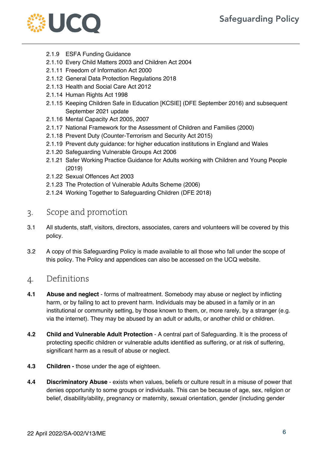

- 2.1.9 ESFA Funding Guidance
- 2.1.10 Every Child Matters 2003 and Children Act 2004
- 2.1.11 Freedom of Information Act 2000
- 2.1.12 General Data Protection Regulations 2018
- 2.1.13 Health and Social Care Act 2012
- 2.1.14 Human Rights Act 1998
- 2.1.15 Keeping Children Safe in Education [KCSIE] (DFE September 2016) and subsequent September 2021 update
- 2.1.16 Mental Capacity Act 2005, 2007
- 2.1.17 National Framework for the Assessment of Children and Families (2000)
- 2.1.18 Prevent Duty (Counter-Terrorism and Security Act 2015)
- 2.1.19 Prevent duty guidance: for higher education institutions in England and Wales
- 2.1.20 Safeguarding Vulnerable Groups Act 2006
- 2.1.21 Safer Working Practice Guidance for Adults working with Children and Young People (2019)
- 2.1.22 Sexual Offences Act 2003
- 2.1.23 The Protection of Vulnerable Adults Scheme (2006)
- 2.1.24 Working Together to Safeguarding Children (DFE 2018)

#### 3. Scope and promotion

- 3.1 All students, staff, visitors, directors, associates, carers and volunteers will be covered by this policy.
- 3.2 A copy of this Safeguarding Policy is made available to all those who fall under the scope of this policy. The Policy and appendices can also be accessed on the UCQ website.

#### 4. Definitions

- **4.1 Abuse and neglect**  forms of maltreatment. Somebody may abuse or neglect by inflicting harm, or by failing to act to prevent harm. Individuals may be abused in a family or in an institutional or community setting, by those known to them, or, more rarely, by a stranger (e.g. via the internet). They may be abused by an adult or adults, or another child or children.
- **4.2 Child and Vulnerable Adult Protection** A central part of Safeguarding. It is the process of protecting specific children or vulnerable adults identified as suffering, or at risk of suffering, significant harm as a result of abuse or neglect.
- **4.3 Children -** those under the age of eighteen.
- **4.4 Discriminatory Abuse**  exists when values, beliefs or culture result in a misuse of power that denies opportunity to some groups or individuals. This can be because of age, sex, religion or belief, disability/ability, pregnancy or maternity, sexual orientation, gender (including gender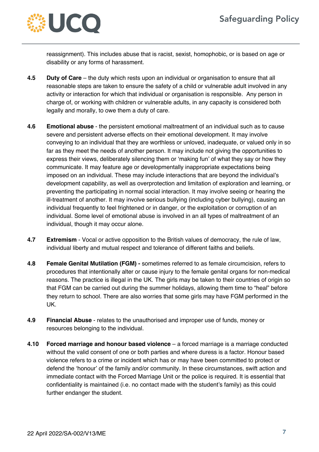

reassignment). This includes abuse that is racist, sexist, homophobic, or is based on age or disability or any forms of harassment.

- **4.5 Duty of Care** the duty which rests upon an individual or organisation to ensure that all reasonable steps are taken to ensure the safety of a child or vulnerable adult involved in any activity or interaction for which that individual or organisation is responsible. Any person in charge of, or working with children or vulnerable adults, in any capacity is considered both legally and morally, to owe them a duty of care.
- **4.6 Emotional abuse**  the persistent emotional maltreatment of an individual such as to cause severe and persistent adverse effects on their emotional development. It may involve conveying to an individual that they are worthless or unloved, inadequate, or valued only in so far as they meet the needs of another person. It may include not giving the opportunities to express their views, deliberately silencing them or 'making fun' of what they say or how they communicate. It may feature age or developmentally inappropriate expectations being imposed on an individual. These may include interactions that are beyond the individual's development capability, as well as overprotection and limitation of exploration and learning, or preventing the participating in normal social interaction. It may involve seeing or hearing the ill-treatment of another. It may involve serious bullying (including cyber bullying), causing an individual frequently to feel frightened or in danger, or the exploitation or corruption of an individual. Some level of emotional abuse is involved in an all types of maltreatment of an individual, though it may occur alone.
- **4.7 Extremism**  Vocal or active opposition to the British values of democracy, the rule of law, individual liberty and mutual respect and tolerance of different faiths and beliefs.
- **4.8 Female Genital Mutilation (FGM) -** sometimes referred to as female circumcision, refers to procedures that intentionally alter or cause injury to the female genital organs for non-medical reasons. The practice is illegal in the UK. The girls may be taken to their countries of origin so that FGM can be carried out during the summer holidays, allowing them time to "heal" before they return to school. There are also worries that some girls may have FGM performed in the UK.
- **4.9 Financial Abuse**  relates to the unauthorised and improper use of funds, money or resources belonging to the individual.
- **4.10 Forced marriage and honour based violence** a forced marriage is a marriage conducted without the valid consent of one or both parties and where duress is a factor. Honour based violence refers to a crime or incident which has or may have been committed to protect or defend the 'honour' of the family and/or community. In these circumstances, swift action and immediate contact with the Forced Marriage Unit or the police is required. It is essential that confidentiality is maintained (i.e. no contact made with the student's family) as this could further endanger the student.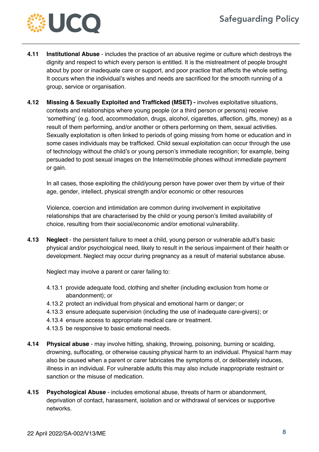

- **4.11 Institutional Abuse**  includes the practice of an abusive regime or culture which destroys the dignity and respect to which every person is entitled. It is the mistreatment of people brought about by poor or inadequate care or support, and poor practice that affects the whole setting. It occurs when the individual's wishes and needs are sacrificed for the smooth running of a group, service or organisation.
- **4.12 Missing & Sexually Exploited and Trafficked (MSET) -** involves exploitative situations, contexts and relationships where young people (or a third person or persons) receive 'something' (e.g. food, accommodation, drugs, alcohol, cigarettes, affection, gifts, money) as a result of them performing, and/or another or others performing on them, sexual activities. Sexually exploitation is often linked to periods of going missing from home or education and in some cases individuals may be trafficked. Child sexual exploitation can occur through the use of technology without the child's or young person's immediate recognition; for example, being persuaded to post sexual images on the Internet/mobile phones without immediate payment or gain.

In all cases, those exploiting the child/young person have power over them by virtue of their age, gender, intellect, physical strength and/or economic or other resources

Violence, coercion and intimidation are common during involvement in exploitative relationships that are characterised by the child or young person's limited availability of choice, resulting from their social/economic and/or emotional vulnerability.

**4.13 Neglect** - the persistent failure to meet a child, young person or vulnerable adult's basic physical and/or psychological need, likely to result in the serious impairment of their health or development. Neglect may occur during pregnancy as a result of material substance abuse.

Neglect may involve a parent or carer failing to:

- 4.13.1 provide adequate food, clothing and shelter (including exclusion from home or abandonment); or
- 4.13.2 protect an individual from physical and emotional harm or danger; or
- 4.13.3 ensure adequate supervision (including the use of inadequate care-givers); or
- 4.13.4 ensure access to appropriate medical care or treatment.
- 4.13.5 be responsive to basic emotional needs.
- **4.14 Physical abuse**  may involve hitting, shaking, throwing, poisoning, burning or scalding, drowning, suffocating, or otherwise causing physical harm to an individual. Physical harm may also be caused when a parent or carer fabricates the symptoms of, or deliberately induces, illness in an individual. For vulnerable adults this may also include inappropriate restraint or sanction or the misuse of medication.
- **4.15 Psychological Abuse**  includes emotional abuse, threats of harm or abandonment, deprivation of contact, harassment, isolation and or withdrawal of services or supportive networks.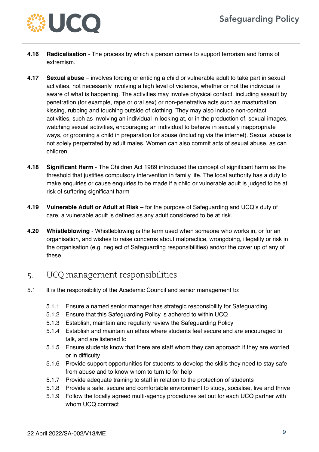

- **4.16 Radicalisation** The process by which a person comes to support terrorism and forms of extremism.
- **4.17 Sexual abuse**  involves forcing or enticing a child or vulnerable adult to take part in sexual activities, not necessarily involving a high level of violence, whether or not the individual is aware of what is happening. The activities may involve physical contact, including assault by penetration (for example, rape or oral sex) or non-penetrative acts such as masturbation, kissing, rubbing and touching outside of clothing. They may also include non-contact activities, such as involving an individual in looking at, or in the production of, sexual images, watching sexual activities, encouraging an individual to behave in sexually inappropriate ways, or grooming a child in preparation for abuse (including via the internet). Sexual abuse is not solely perpetrated by adult males. Women can also commit acts of sexual abuse, as can children.
- **4.18 Significant Harm** The Children Act 1989 introduced the concept of significant harm as the threshold that justifies compulsory intervention in family life. The local authority has a duty to make enquiries or cause enquiries to be made if a child or vulnerable adult is judged to be at risk of suffering significant harm
- **4.19 Vulnerable Adult or Adult at Risk** for the purpose of Safeguarding and UCQ's duty of care, a vulnerable adult is defined as any adult considered to be at risk.
- **4.20 Whistleblowing**  Whistleblowing is the term used when someone who works in, or for an organisation, and wishes to raise concerns about malpractice, wrongdoing, illegality or risk in the organisation (e.g. neglect of Safeguarding responsibilities) and/or the cover up of any of these.

### 5. UCQ management responsibilities

- 5.1 It is the responsibility of the Academic Council and senior management to:
	- 5.1.1 Ensure a named senior manager has strategic responsibility for Safeguarding
	- 5.1.2 Ensure that this Safeguarding Policy is adhered to within UCQ
	- 5.1.3 Establish, maintain and regularly review the Safeguarding Policy
	- 5.1.4 Establish and maintain an ethos where students feel secure and are encouraged to talk, and are listened to
	- 5.1.5 Ensure students know that there are staff whom they can approach if they are worried or in difficulty
	- 5.1.6 Provide support opportunities for students to develop the skills they need to stay safe from abuse and to know whom to turn to for help
	- 5.1.7 Provide adequate training to staff in relation to the protection of students
	- 5.1.8 Provide a safe, secure and comfortable environment to study, socialise, live and thrive
	- 5.1.9 Follow the locally agreed multi-agency procedures set out for each UCQ partner with whom UCQ contract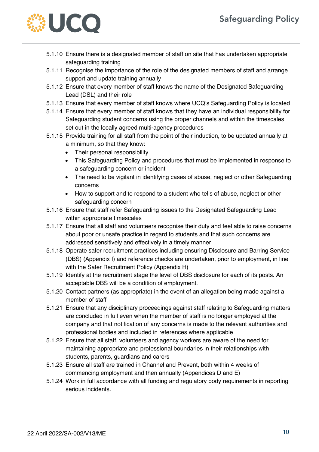

- 5.1.10 Ensure there is a designated member of staff on site that has undertaken appropriate safeguarding training
- 5.1.11 Recognise the importance of the role of the designated members of staff and arrange support and update training annually
- 5.1.12 Ensure that every member of staff knows the name of the Designated Safeguarding Lead (DSL) and their role
- 5.1.13 Ensure that every member of staff knows where UCQ's Safeguarding Policy is located
- 5.1.14 Ensure that every member of staff knows that they have an individual responsibility for Safeguarding student concerns using the proper channels and within the timescales set out in the locally agreed multi-agency procedures
- 5.1.15 Provide training for all staff from the point of their induction, to be updated annually at a minimum, so that they know:
	- Their personal responsibility
	- This Safeguarding Policy and procedures that must be implemented in response to a safeguarding concern or incident
	- The need to be vigilant in identifying cases of abuse, neglect or other Safeguarding concerns
	- How to support and to respond to a student who tells of abuse, neglect or other safeguarding concern
- 5.1.16 Ensure that staff refer Safeguarding issues to the Designated Safeguarding Lead within appropriate timescales
- 5.1.17 Ensure that all staff and volunteers recognise their duty and feel able to raise concerns about poor or unsafe practice in regard to students and that such concerns are addressed sensitively and effectively in a timely manner
- 5.1.18 Operate safer recruitment practices including ensuring Disclosure and Barring Service (DBS) (Appendix I) and reference checks are undertaken, prior to employment, in line with the Safer Recruitment Policy (Appendix H)
- 5.1.19 Identify at the recruitment stage the level of DBS disclosure for each of its posts. An acceptable DBS will be a condition of employment.
- 5.1.20 Contact partners (as appropriate) in the event of an allegation being made against a member of staff
- 5.1.21 Ensure that any disciplinary proceedings against staff relating to Safeguarding matters are concluded in full even when the member of staff is no longer employed at the company and that notification of any concerns is made to the relevant authorities and professional bodies and included in references where applicable
- 5.1.22 Ensure that all staff, volunteers and agency workers are aware of the need for maintaining appropriate and professional boundaries in their relationships with students, parents, guardians and carers
- 5.1.23 Ensure all staff are trained in Channel and Prevent, both within 4 weeks of commencing employment and then annually (Appendices D and E)
- 5.1.24 Work in full accordance with all funding and regulatory body requirements in reporting serious incidents.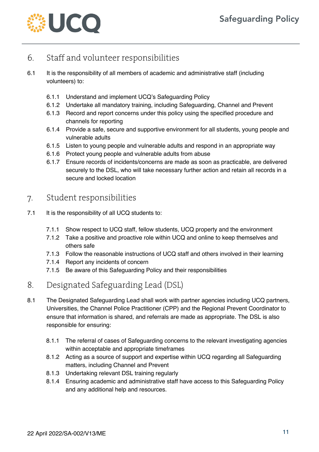

## 6. Staff and volunteer responsibilities

- 6.1 It is the responsibility of all members of academic and administrative staff (including volunteers) to:
	- 6.1.1 Understand and implement UCQ's Safeguarding Policy
	- 6.1.2 Undertake all mandatory training, including Safeguarding, Channel and Prevent
	- 6.1.3 Record and report concerns under this policy using the specified procedure and channels for reporting
	- 6.1.4 Provide a safe, secure and supportive environment for all students, young people and vulnerable adults
	- 6.1.5 Listen to young people and vulnerable adults and respond in an appropriate way
	- 6.1.6 Protect young people and vulnerable adults from abuse
	- 6.1.7 Ensure records of incidents/concerns are made as soon as practicable, are delivered securely to the DSL, who will take necessary further action and retain all records in a secure and locked location

## 7. Student responsibilities

- 7.1 It is the responsibility of all UCQ students to:
	- 7.1.1 Show respect to UCQ staff, fellow students, UCQ property and the environment
	- 7.1.2 Take a positive and proactive role within UCQ and online to keep themselves and others safe
	- 7.1.3 Follow the reasonable instructions of UCQ staff and others involved in their learning
	- 7.1.4 Report any incidents of concern
	- 7.1.5 Be aware of this Safeguarding Policy and their responsibilities
- 8. Designated Safeguarding Lead (DSL)
- 8.1 The Designated Safeguarding Lead shall work with partner agencies including UCQ partners, Universities, the Channel Police Practitioner (CPP) and the Regional Prevent Coordinator to ensure that information is shared, and referrals are made as appropriate. The DSL is also responsible for ensuring:
	- 8.1.1 The referral of cases of Safeguarding concerns to the relevant investigating agencies within acceptable and appropriate timeframes
	- 8.1.2 Acting as a source of support and expertise within UCQ regarding all Safeguarding matters, including Channel and Prevent
	- 8.1.3 Undertaking relevant DSL training regularly
	- 8.1.4 Ensuring academic and administrative staff have access to this Safeguarding Policy and any additional help and resources.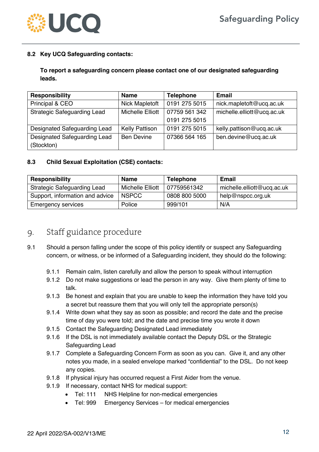

#### **8.2 Key UCQ Safeguarding contacts:**

#### **To report a safeguarding concern please contact one of our designated safeguarding leads.**

| <b>Responsibility</b>              | <b>Name</b>             | <b>Telephone</b> | <b>Email</b>               |
|------------------------------------|-------------------------|------------------|----------------------------|
| Principal & CEO                    | Nick Mapletoft          | 0191 275 5015    | nick.mapletoft@ucq.ac.uk   |
| <b>Strategic Safeguarding Lead</b> | <b>Michelle Elliott</b> | 07759 561 342    | michelle.elliott@ucq.ac.uk |
|                                    |                         | 0191 275 5015    |                            |
| Designated Safeguarding Lead       | <b>Kelly Pattison</b>   | 0191 275 5015    | kelly.pattison@ucq.ac.uk   |
| Designated Safeguarding Lead       | <b>Ben Devine</b>       | 07366 564 165    | ben.devine@ucq.ac.uk       |
| (Stockton)                         |                         |                  |                            |

#### **8.3 Child Sexual Exploitation (CSE) contacts:**

| <b>Responsibility</b>              | Name                    | <b>Telephone</b> | <b>Email</b>               |
|------------------------------------|-------------------------|------------------|----------------------------|
| <b>Strategic Safeguarding Lead</b> | <b>Michelle Elliott</b> | 07759561342      | michelle.elliott@ucq.ac.uk |
| Support, information and advice    | <b>NSPCC</b>            | 0808 800 5000    | help@nspcc.org.uk          |
| <b>Emergency services</b>          | Police                  | 999/101          | N/A                        |

### 9. Staff guidance procedure

- 9.1 Should a person falling under the scope of this policy identify or suspect any Safeguarding concern, or witness, or be informed of a Safeguarding incident, they should do the following:
	- 9.1.1 Remain calm, listen carefully and allow the person to speak without interruption
	- 9.1.2 Do not make suggestions or lead the person in any way. Give them plenty of time to talk.
	- 9.1.3 Be honest and explain that you are unable to keep the information they have told you a secret but reassure them that you will only tell the appropriate person(s)
	- 9.1.4 Write down what they say as soon as possible; and record the date and the precise time of day you were told; and the date and precise time you wrote it down
	- 9.1.5 Contact the Safeguarding Designated Lead immediately
	- 9.1.6 If the DSL is not immediately available contact the Deputy DSL or the Strategic Safeguarding Lead
	- 9.1.7 Complete a Safeguarding Concern Form as soon as you can. Give it, and any other notes you made, in a sealed envelope marked "confidential" to the DSL. Do not keep any copies.
	- 9.1.8 If physical injury has occurred request a First Aider from the venue.
	- 9.1.9 If necessary, contact NHS for medical support:
		- Tel: 111 NHS Helpline for non-medical emergencies
		- Tel: 999 Emergency Services for medical emergencies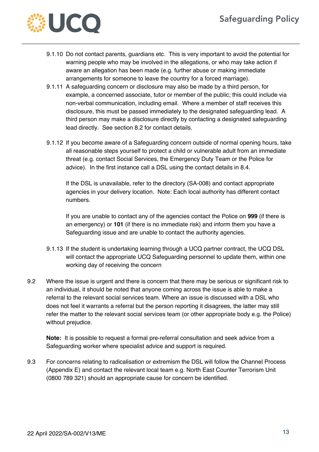

- 9.1.10 Do not contact parents, guardians etc. This is very important to avoid the potential for warning people who may be involved in the allegations, or who may take action if aware an allegation has been made (e.g. further abuse or making immediate arrangements for someone to leave the country for a forced marriage).
- 9.1.11 A safeguarding concern or disclosure may also be made by a third person, for example, a concerned associate, tutor or member of the public; this could include via non-verbal communication, including email. Where a member of staff receives this disclosure, this must be passed immediately to the designated safeguarding lead. A third person may make a disclosure directly by contacting a designated safeguarding lead directly. See section 8.2 for contact details.
- 9.1.12 If you become aware of a Safeguarding concern outside of normal opening hours, take all reasonable steps yourself to protect a child or vulnerable adult from an immediate threat (e.g. contact Social Services, the Emergency Duty Team or the Police for advice). In the first instance call a DSL using the contact details in 8.4.

If the DSL is unavailable, refer to the directory (SA-008) and contact appropriate agencies in your delivery location. Note: Each local authority has different contact numbers.

If you are unable to contact any of the agencies contact the Police on **999** (if there is an emergency) or **101** (if there is no immediate risk) and inform them you have a Safeguarding issue and are unable to contact the authority agencies.

- 9.1.13 If the student is undertaking learning through a UCQ partner contract, the UCQ DSL will contact the appropriate UCQ Safeguarding personnel to update them, within one working day of receiving the concern
- 9.2 Where the issue is urgent and there is concern that there may be serious or significant risk to an individual, it should be noted that anyone coming across the issue is able to make a referral to the relevant social services team. Where an issue is discussed with a DSL who does not feel it warrants a referral but the person reporting it disagrees, the latter may still refer the matter to the relevant social services team (or other appropriate body e.g. the Police) without prejudice.

**Note:** It is possible to request a formal pre-referral consultation and seek advice from a Safeguarding worker where specialist advice and support is required.

9.3 For concerns relating to radicalisation or extremism the DSL will follow the Channel Process (Appendix E) and contact the relevant local team e.g. North East Counter Terrorism Unit (0800 789 321) should an appropriate cause for concern be identified.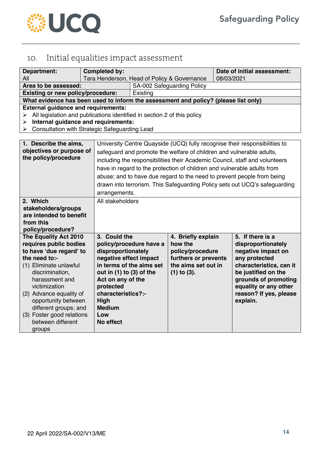

# 10. Initial equalities impact assessment

| Department:<br>All                                                                  | <b>Completed by:</b>            | Tara Henderson, Head of Policy & Governance                                |                                                                      | 08/03/2021 | Date of initial assessment:                                                 |
|-------------------------------------------------------------------------------------|---------------------------------|----------------------------------------------------------------------------|----------------------------------------------------------------------|------------|-----------------------------------------------------------------------------|
| Area to be assessed:                                                                |                                 |                                                                            | SA-002 Safeguarding Policy                                           |            |                                                                             |
| <b>Existing or new policy/procedure:</b>                                            |                                 | Existing                                                                   |                                                                      |            |                                                                             |
| What evidence has been used to inform the assessment and policy? (please list only) |                                 |                                                                            |                                                                      |            |                                                                             |
| <b>External guidance and requirements:</b>                                          |                                 |                                                                            |                                                                      |            |                                                                             |
| All legislation and publications identified in section 2 of this policy<br>➤        |                                 |                                                                            |                                                                      |            |                                                                             |
| Internal guidance and requirements:<br>➤                                            |                                 |                                                                            |                                                                      |            |                                                                             |
| Consultation with Strategic Safeguarding Lead<br>➤                                  |                                 |                                                                            |                                                                      |            |                                                                             |
|                                                                                     |                                 |                                                                            |                                                                      |            |                                                                             |
| 1. Describe the aims,                                                               |                                 |                                                                            |                                                                      |            | University Centre Quayside (UCQ) fully recognise their responsibilities to  |
| objectives or purpose of                                                            |                                 |                                                                            | safeguard and promote the welfare of children and vulnerable adults, |            |                                                                             |
| the policy/procedure                                                                |                                 |                                                                            |                                                                      |            | including the responsibilities their Academic Council, staff and volunteers |
|                                                                                     |                                 |                                                                            |                                                                      |            | have in regard to the protection of children and vulnerable adults from     |
|                                                                                     |                                 | abuse; and to have due regard to the need to prevent people from being     |                                                                      |            |                                                                             |
|                                                                                     |                                 | drawn into terrorism. This Safeguarding Policy sets out UCQ's safeguarding |                                                                      |            |                                                                             |
|                                                                                     |                                 | arrangements.                                                              |                                                                      |            |                                                                             |
| 2. Which                                                                            |                                 | All stakeholders                                                           |                                                                      |            |                                                                             |
| stakeholders/groups                                                                 |                                 |                                                                            |                                                                      |            |                                                                             |
| are intended to benefit                                                             |                                 |                                                                            |                                                                      |            |                                                                             |
| from this                                                                           |                                 |                                                                            |                                                                      |            |                                                                             |
| policy/procedure?                                                                   |                                 |                                                                            |                                                                      |            |                                                                             |
| The Equality Act 2010                                                               | 3. Could the                    |                                                                            | 4. Briefly explain                                                   |            | 5. If there is a                                                            |
| requires public bodies                                                              |                                 | policy/procedure have a                                                    | how the                                                              |            | disproportionately                                                          |
| to have 'due regard' to                                                             | disproportionately              |                                                                            | policy/procedure                                                     |            | negative impact on                                                          |
| the need to:-                                                                       | negative effect impact          |                                                                            | furthers or prevents                                                 |            | any protected                                                               |
| (1) Eliminate unlawful                                                              |                                 | in terms of the aims set                                                   | the aims set out in                                                  |            | characteristics, can it                                                     |
| discrimination,                                                                     | out in $(1)$ to $(3)$ of the    |                                                                            | $(1)$ to $(3)$ .                                                     |            | be justified on the                                                         |
| harassment and                                                                      | Act on any of the               |                                                                            |                                                                      |            | grounds of promoting                                                        |
| victimization                                                                       | protected<br>characteristics?:- |                                                                            |                                                                      |            | equality or any other                                                       |
| (2) Advance equality of<br>opportunity between                                      | High                            |                                                                            |                                                                      |            | reason? If yes, please<br>explain.                                          |
| different groups; and                                                               | <b>Medium</b>                   |                                                                            |                                                                      |            |                                                                             |
| (3) Foster good relations                                                           | Low                             |                                                                            |                                                                      |            |                                                                             |
| between different                                                                   | No effect                       |                                                                            |                                                                      |            |                                                                             |
| groups                                                                              |                                 |                                                                            |                                                                      |            |                                                                             |